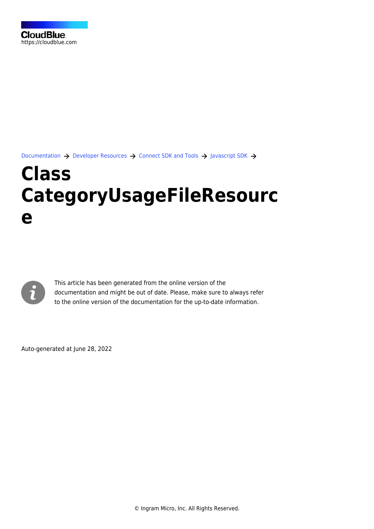[Documentation](https://connect.cloudblue.com/documentation)  $\rightarrow$  [Developer Resources](https://connect.cloudblue.com/community/developers/)  $\rightarrow$  [Connect SDK and Tools](https://connect.cloudblue.com/community/developers/sdk/)  $\rightarrow$  [Javascript SDK](https://connect.cloudblue.com/community/developers/sdk/javascript-sdk/)  $\rightarrow$ 

# **[Class](https://connect.cloudblue.com/community/developers/sdk/javascript-sdk/class-categoryusagefileresource/) [CategoryUsageFileResourc](https://connect.cloudblue.com/community/developers/sdk/javascript-sdk/class-categoryusagefileresource/) [e](https://connect.cloudblue.com/community/developers/sdk/javascript-sdk/class-categoryusagefileresource/)**



This article has been generated from the online version of the documentation and might be out of date. Please, make sure to always refer to the online version of the documentation for the up-to-date information.

Auto-generated at June 28, 2022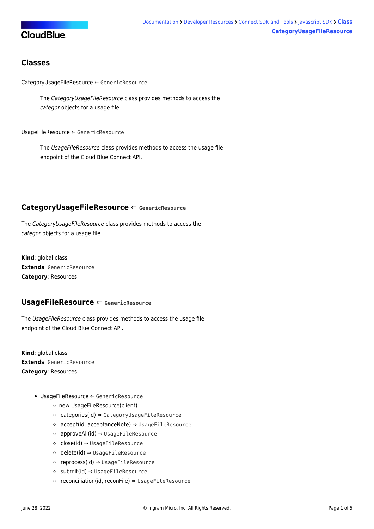# **CloudBlue**

## **Classes**

[CategoryUsageFileResource](#page-1-0) ⇐ GenericResource

The CategoryUsageFileResource class provides methods to access the categor objects for a usage file.

[UsageFileResource](#page-1-1) ⇐ GenericResource

The UsageFileResource class provides methods to access the usage file endpoint of the Cloud Blue Connect API.

## <span id="page-1-0"></span>**CategoryUsageFileResource ⇐ GenericResource**

The CategoryUsageFileResource class provides methods to access the categor objects for a usage file.

**Kind**: global class **Extends**: GenericResource **Category**: Resources

## <span id="page-1-1"></span>**UsageFileResource ⇐ GenericResource**

The UsageFileResource class provides methods to access the usage file endpoint of the Cloud Blue Connect API.

**Kind**: global class **Extends**: GenericResource **Category**: Resources

- [UsageFileResource](#page-1-1) ⇐ GenericResource
	- [new UsageFileResource\(client\)](#page-2-0)
	- [.categories\(id\)](#page-2-1) ⇒ [CategoryUsageFileResource](#page-1-0)
	- [.accept\(id, acceptanceNote\)](#page-2-2) ⇒ [UsageFileResource](#page-1-1)
	- [.approveAll\(id\)](#page-2-3) ⇒ [UsageFileResource](#page-1-1)
	- [.close\(id\)](#page-3-0) ⇒ [UsageFileResource](#page-1-1)
	- [.delete\(id\)](#page-3-1) ⇒ [UsageFileResource](#page-1-1)
	- [.reprocess\(id\)](#page-3-2) ⇒ [UsageFileResource](#page-1-1)
	- [.submit\(id\)](#page-3-3) ⇒ [UsageFileResource](#page-1-1)
	- [.reconciliation\(id, reconFile\)](#page-4-0) ⇒ [UsageFileResource](#page-1-1)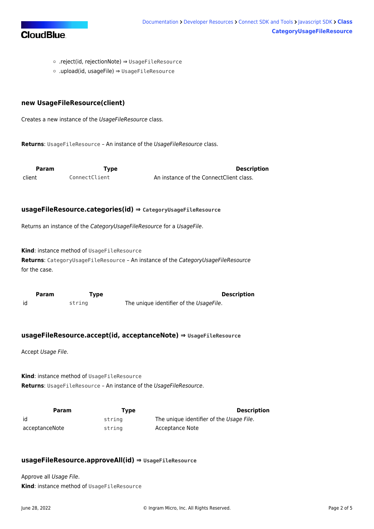

- [.reject\(id, rejectionNote\)](#page-4-1) ⇒ [UsageFileResource](#page-1-1)
- [.upload\(id, usageFile\)](#page-4-2) ⇒ [UsageFileResource](#page-1-1)

#### <span id="page-2-0"></span>**new UsageFileResource(client)**

Creates a new instance of the UsageFileResource class.

Returns: [UsageFileResource](#page-1-1) - An instance of the UsageFileResource class.

<span id="page-2-1"></span>**Param Type Description** client ConnectClient An instance of the ConnectClient class.

#### **usageFileResource.categories(id) ⇒ [CategoryUsageFileResource](#page-1-0)**

Returns an instance of the CategoryUsageFileResource for a UsageFile.

**Kind**: instance method of [UsageFileResource](#page-1-1)

**Returns**: [CategoryUsageFileResource](#page-1-0) – An instance of the CategoryUsageFileResource for the case.

<span id="page-2-2"></span>**Param Type Description** id string The unique identifier of the UsageFile.

#### **usageFileResource.accept(id, acceptanceNote) ⇒ [UsageFileResource](#page-1-1)**

Accept Usage File.

**Kind**: instance method of [UsageFileResource](#page-1-1) **Returns:** [UsageFileResource](#page-1-1) - An instance of the UsageFileResource.

**Param Type Description** id string The unique identifier of the Usage File. acceptanceNote string Acceptance Note

#### <span id="page-2-3"></span>**usageFileResource.approveAll(id) ⇒ [UsageFileResource](#page-1-1)**

Approve all Usage File. **Kind**: instance method of [UsageFileResource](#page-1-1)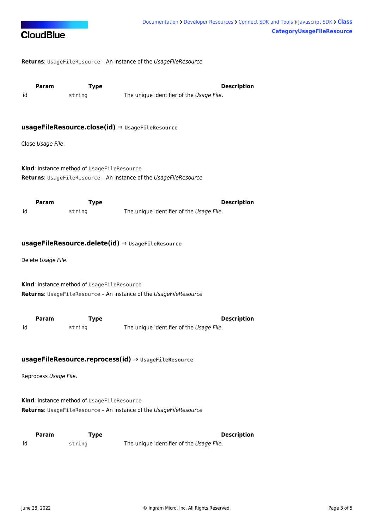

**Returns**: [UsageFileResource](#page-1-1) – An instance of the UsageFileResource

<span id="page-3-0"></span>

**Param Type Type Description** id string The unique identifier of the Usage File.

#### **usageFileResource.close(id) ⇒ [UsageFileResource](#page-1-1)**

Close Usage File.

**Kind**: instance method of [UsageFileResource](#page-1-1) **Returns**: [UsageFileResource](#page-1-1) – An instance of the UsageFileResource

<span id="page-3-1"></span>**Param Type Type Description** id string The unique identifier of the Usage File.

#### **usageFileResource.delete(id) ⇒ [UsageFileResource](#page-1-1)**

Delete Usage File.

**Kind**: instance method of [UsageFileResource](#page-1-1) **Returns**: [UsageFileResource](#page-1-1) – An instance of the UsageFileResource

<span id="page-3-2"></span>

|    | <b>Param</b> | Tvpe   | <b>Description</b>                       |
|----|--------------|--------|------------------------------------------|
| id |              | string | The unique identifier of the Usage File. |

#### **usageFileResource.reprocess(id) ⇒ [UsageFileResource](#page-1-1)**

Reprocess Usage File.

**Kind**: instance method of [UsageFileResource](#page-1-1) Returns: [UsageFileResource](#page-1-1) - An instance of the UsageFileResource

<span id="page-3-3"></span>

|    | <b>Param</b> | Type   | Description                              |
|----|--------------|--------|------------------------------------------|
| id |              | string | The unique identifier of the Usage File. |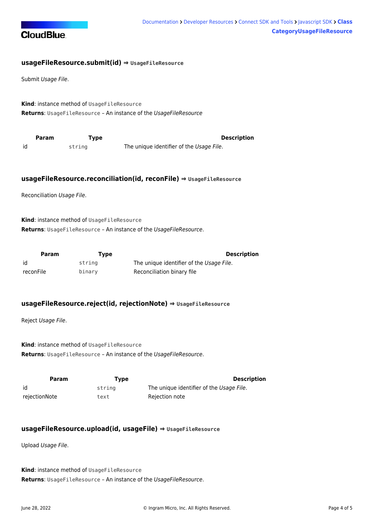

#### **usageFileResource.submit(id) ⇒ [UsageFileResource](#page-1-1)**

Submit Usage File.

**Kind**: instance method of [UsageFileResource](#page-1-1) Returns: [UsageFileResource](#page-1-1) - An instance of the UsageFileResource

<span id="page-4-0"></span>

| Param | Tvpe   | <b>Description</b>                       |
|-------|--------|------------------------------------------|
| id    | string | The unique identifier of the Usage File. |

#### **usageFileResource.reconciliation(id, reconFile) ⇒ [UsageFileResource](#page-1-1)**

Reconciliation Usage File.

**Kind**: instance method of [UsageFileResource](#page-1-1) Returns: [UsageFileResource](#page-1-1) - An instance of the UsageFileResource.

| Param     | Type   | <b>Description</b>                       |
|-----------|--------|------------------------------------------|
| id        | string | The unique identifier of the Usage File. |
| reconFile | binary | Reconciliation binary file               |

#### <span id="page-4-1"></span>**usageFileResource.reject(id, rejectionNote) ⇒ [UsageFileResource](#page-1-1)**

Reject Usage File.

**Kind**: instance method of [UsageFileResource](#page-1-1) **Returns:** [UsageFileResource](#page-1-1) - An instance of the UsageFileResource.

| Param         | Type   | <b>Description</b>                       |
|---------------|--------|------------------------------------------|
| id            | strina | The unique identifier of the Usage File. |
| rejectionNote | text   | Rejection note                           |

#### <span id="page-4-2"></span>**usageFileResource.upload(id, usageFile) ⇒ [UsageFileResource](#page-1-1)**

Upload Usage File.

**Kind**: instance method of [UsageFileResource](#page-1-1) **Returns**: [UsageFileResource](#page-1-1) – An instance of the UsageFileResource.